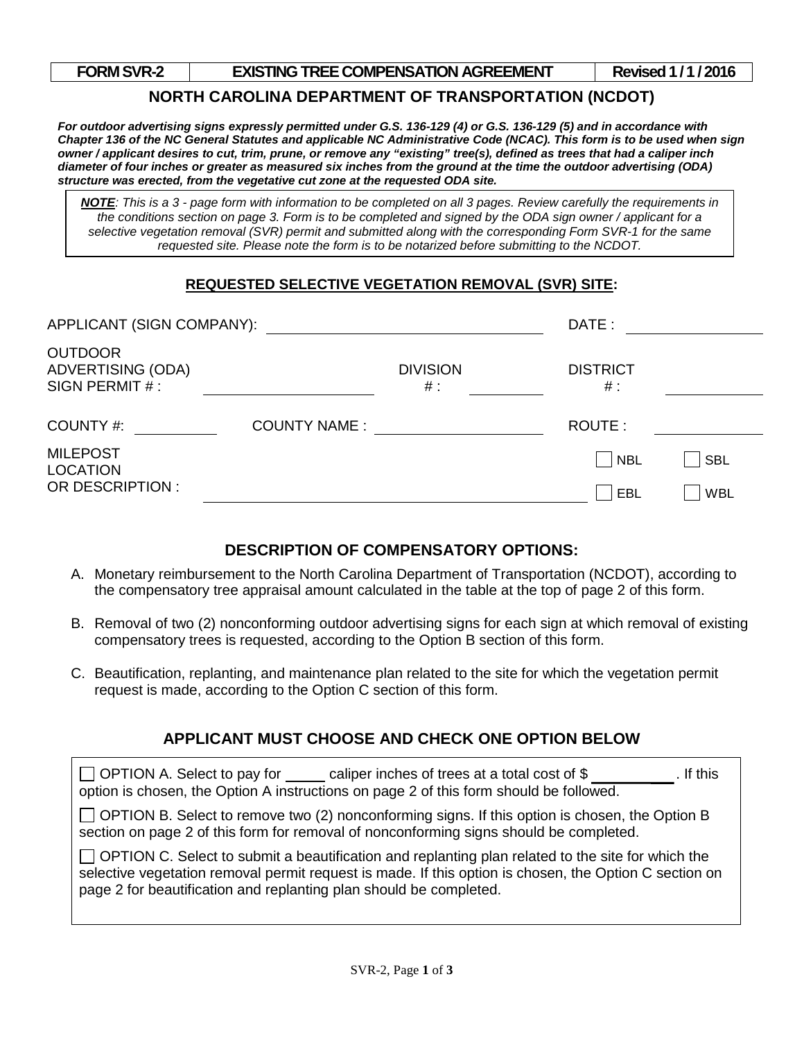| <b>FORM SVR-2</b> |  |
|-------------------|--|
|-------------------|--|

### **FORM STREE COMPENSATION AGREEMENT Revised 1/1/2016**

## **NORTH CAROLINA DEPARTMENT OF TRANSPORTATION (NCDOT)**

*For outdoor advertising signs expressly permitted under G.S. 136-129 (4) or G.S. 136-129 (5) and in accordance with Chapter 136 of the NC General Statutes and applicable NC Administrative Code (NCAC). This form is to be used when sign owner / applicant desires to cut, trim, prune, or remove any "existing" tree(s), defined as trees that had a caliper inch diameter of four inches or greater as measured six inches from the ground at the time the outdoor advertising (ODA) structure was erected, from the vegetative cut zone at the requested ODA site.* 

selective vegetation removal (SVR) permit and submitted along with the corresponding Form SVR-1 for the same *NOTE: This is a 3 - page form with information to be completed on all 3 pages. Review carefully the requirements in the conditions section on page 3. Form is to be completed and signed by the ODA sign owner / applicant for a requested site. Please note the form is to be notarized before submitting to the NCDOT.*

## **REQUESTED SELECTIVE VEGETATION REMOVAL (SVR) SITE:**

| APPLICANT (SIGN COMPANY):                                   |                     |                          | DATE :                       |            |
|-------------------------------------------------------------|---------------------|--------------------------|------------------------------|------------|
| <b>OUTDOOR</b><br><b>ADVERTISING (ODA)</b><br>SIGN PERMIT#: |                     | <b>DIVISION</b><br>$#$ : | <b>DISTRICT</b><br>#:        |            |
| COUNTY #:                                                   | <b>COUNTY NAME:</b> |                          | ROUTE:                       |            |
| <b>MILEPOST</b><br><b>LOCATION</b>                          |                     |                          | $\overline{\phantom{a}}$ NBL | <b>SBL</b> |
| OR DESCRIPTION :                                            |                     |                          | EBL                          | <b>WBL</b> |

## **DESCRIPTION OF COMPENSATORY OPTIONS:**

- A. Monetary reimbursement to the North Carolina Department of Transportation (NCDOT), according to the compensatory tree appraisal amount calculated in the table at the top of page 2 of this form.
- B. Removal of two (2) nonconforming outdoor advertising signs for each sign at which removal of existing compensatory trees is requested, according to the Option B section of this form.
- C. Beautification, replanting, and maintenance plan related to the site for which the vegetation permit request is made, according to the Option C section of this form.

# **APPLICANT MUST CHOOSE AND CHECK ONE OPTION BELOW**

| $\Box$ OPTION A. Select to pay for caliper inches of trees at a total cost of \$<br>. If this<br>option is chosen, the Option A instructions on page 2 of this form should be followed.                                                                                             |  |  |  |
|-------------------------------------------------------------------------------------------------------------------------------------------------------------------------------------------------------------------------------------------------------------------------------------|--|--|--|
| $\Box$ OPTION B. Select to remove two (2) nonconforming signs. If this option is chosen, the Option B<br>section on page 2 of this form for removal of nonconforming signs should be completed.                                                                                     |  |  |  |
| □ OPTION C. Select to submit a beautification and replanting plan related to the site for which the<br>selective vegetation removal permit request is made. If this option is chosen, the Option C section on<br>page 2 for beautification and replanting plan should be completed. |  |  |  |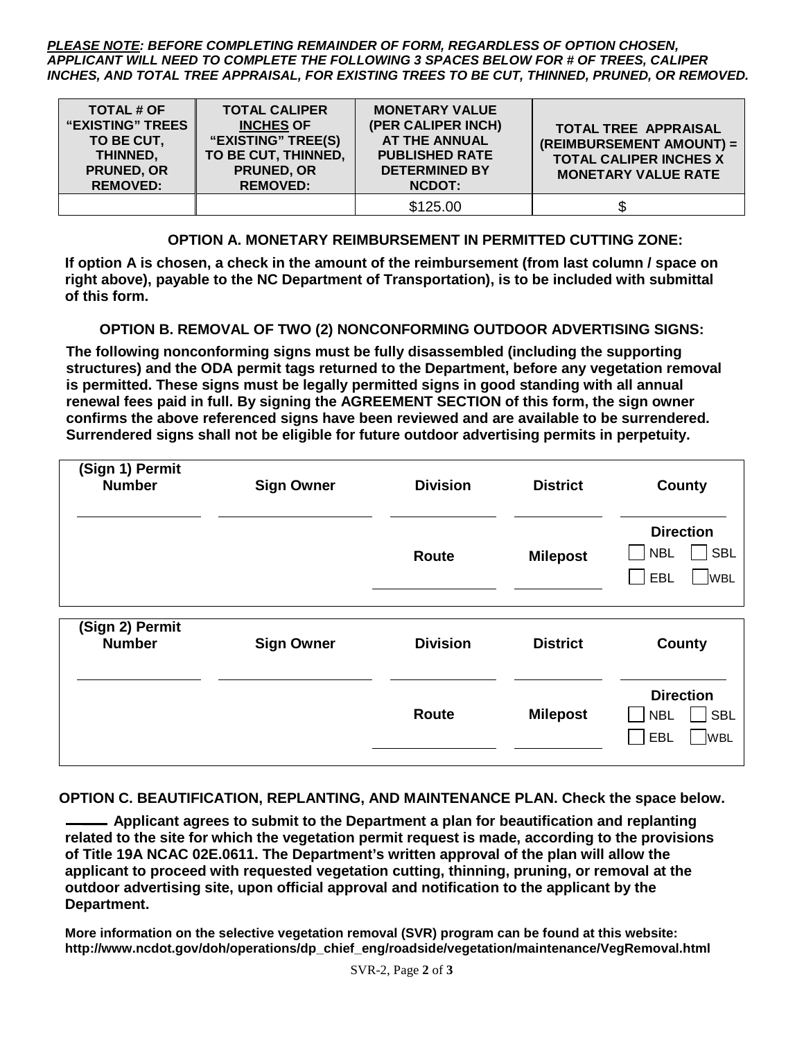*PLEASE NOTE: BEFORE COMPLETING REMAINDER OF FORM, REGARDLESS OF OPTION CHOSEN, APPLICANT WILL NEED TO COMPLETE THE FOLLOWING 3 SPACES BELOW FOR # OF TREES, CALIPER INCHES, AND TOTAL TREE APPRAISAL, FOR EXISTING TREES TO BE CUT, THINNED, PRUNED, OR REMOVED.* 

| <b>TOTAL # OF</b><br><b>"EXISTING" TREES</b><br>TO BE CUT,<br>THINNED,<br>PRUNED, OR<br><b>REMOVED:</b> | <b>TOTAL CALIPER</b><br><b>INCHES OF</b><br>"EXISTING" TREE(S)<br>TO BE CUT, THINNED,<br><b>PRUNED, OR</b><br><b>REMOVED:</b> | <b>MONETARY VALUE</b><br>(PER CALIPER INCH)<br><b>AT THE ANNUAL</b><br><b>PUBLISHED RATE</b><br><b>DETERMINED BY</b><br><b>NCDOT:</b> | <b>TOTAL TREE APPRAISAL</b><br>(REIMBURSEMENT AMOUNT) =<br><b>TOTAL CALIPER INCHES X</b><br><b>MONETARY VALUE RATE</b> |
|---------------------------------------------------------------------------------------------------------|-------------------------------------------------------------------------------------------------------------------------------|---------------------------------------------------------------------------------------------------------------------------------------|------------------------------------------------------------------------------------------------------------------------|
|                                                                                                         |                                                                                                                               | \$125.00                                                                                                                              |                                                                                                                        |

**OPTION A. MONETARY REIMBURSEMENT IN PERMITTED CUTTING ZONE:**

**If option A is chosen, a check in the amount of the reimbursement (from last column / space on right above), payable to the NC Department of Transportation), is to be included with submittal of this form.** 

**OPTION B. REMOVAL OF TWO (2) NONCONFORMING OUTDOOR ADVERTISING SIGNS:**

**The following nonconforming signs must be fully disassembled (including the supporting structures) and the ODA permit tags returned to the Department, before any vegetation removal is permitted. These signs must be legally permitted signs in good standing with all annual renewal fees paid in full. By signing the AGREEMENT SECTION of this form, the sign owner confirms the above referenced signs have been reviewed and are available to be surrendered. Surrendered signs shall not be eligible for future outdoor advertising permits in perpetuity.** 

| (Sign 1) Permit<br><b>Number</b> | <b>Sign Owner</b> | <b>Division</b> | <b>District</b> | County                                                            |
|----------------------------------|-------------------|-----------------|-----------------|-------------------------------------------------------------------|
|                                  |                   | <b>Route</b>    | <b>Milepost</b> | <b>Direction</b><br><b>SBL</b><br><b>NBL</b><br>EBL<br><b>WBL</b> |
| (Sign 2) Permit                  |                   |                 |                 |                                                                   |
| <b>Number</b>                    | <b>Sign Owner</b> | <b>Division</b> | <b>District</b> | County                                                            |
|                                  |                   |                 |                 | <b>Direction</b>                                                  |

**OPTION C. BEAUTIFICATION, REPLANTING, AND MAINTENANCE PLAN. Check the space below.** 

 **Applicant agrees to submit to the Department a plan for beautification and replanting related to the site for which the vegetation permit request is made, according to the provisions of Title 19A NCAC 02E.0611. The Department's written approval of the plan will allow the applicant to proceed with requested vegetation cutting, thinning, pruning, or removal at the outdoor advertising site, upon official approval and notification to the applicant by the Department.** 

**More information on the selective vegetation removal (SVR) program can be found at this website: http://www.ncdot.gov/doh/operations/dp\_chief\_eng/roadside/vegetation/maintenance/VegRemoval.html**